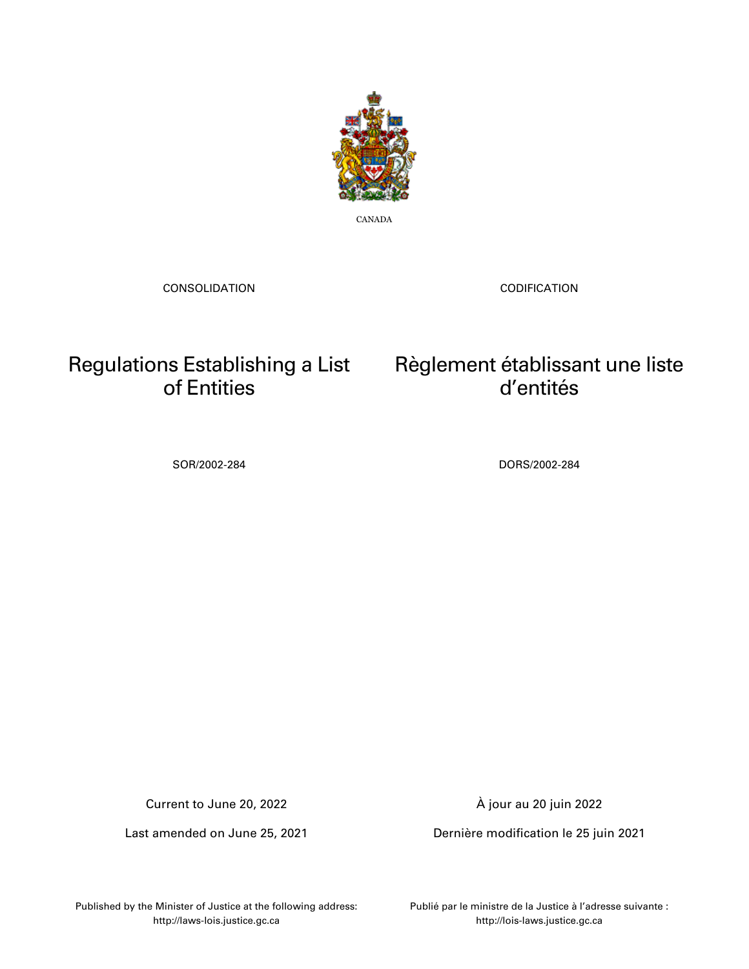

CANADA

CONSOLIDATION

CODIFICATION

# Regulations Establishing a List of Entities

# Règlement établissant une liste d'entités

SOR/2002-284 DORS/2002-284

Current to June 20, 2022

Last amended on June 25, 2021

À jour au 20 juin 2022

Dernière modification le 25 juin 2021

Published by the Minister of Justice at the following address: http://laws-lois.justice.gc.ca

Publié par le ministre de la Justice à l'adresse suivante : http://lois-laws.justice.gc.ca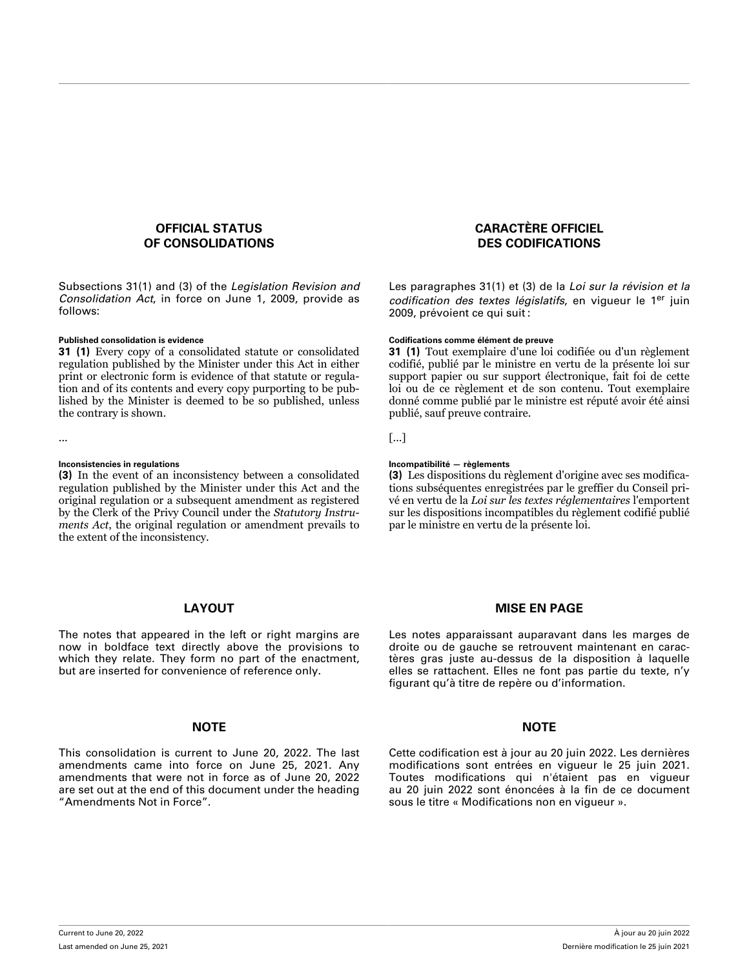## **OFFICIAL STATUS OF CONSOLIDATIONS**

Subsections 31(1) and (3) of the *Legislation Revision and Consolidation Act*, in force on June 1, 2009, provide as follows:

**31 (1)** Every copy of a consolidated statute or consolidated regulation published by the Minister under this Act in either print or electronic form is evidence of that statute or regulation and of its contents and every copy purporting to be published by the Minister is deemed to be so published, unless the contrary is shown.

**(3)** In the event of an inconsistency between a consolidated regulation published by the Minister under this Act and the original regulation or a subsequent amendment as registered by the Clerk of the Privy Council under the *Statutory Instruments Act*, the original regulation or amendment prevails to the extent of the inconsistency.

## **LAYOUT**

The notes that appeared in the left or right margins are now in boldface text directly above the provisions to which they relate. They form no part of the enactment, but are inserted for convenience of reference only.

## **NOTE NOTE**

This consolidation is current to June 20, 2022. The last amendments came into force on June 25, 2021. Any amendments that were not in force as of June 20, 2022 are set out at the end of this document under the heading "Amendments Not in Force".

## **CARACTÈRE OFFICIEL DES CODIFICATIONS**

Les paragraphes 31(1) et (3) de la *Loi sur la révision et la codification des textes législatifs*, en vigueur le 1er juin 2009, prévoient ce qui suit :

## **Published consolidation is evidence Codifications comme élément de preuve**

**31 (1)** Tout exemplaire d'une loi codifiée ou d'un règlement codifié, publié par le ministre en vertu de la présente loi sur support papier ou sur support électronique, fait foi de cette loi ou de ce règlement et de son contenu. Tout exemplaire donné comme publié par le ministre est réputé avoir été ainsi publié, sauf preuve contraire.

... [...]

## **Inconsistencies in regulations Incompatibilité — règlements**

**(3)** Les dispositions du règlement d'origine avec ses modifications subséquentes enregistrées par le greffier du Conseil privé en vertu de la *Loi sur les textes réglementaires* l'emportent sur les dispositions incompatibles du règlement codifié publié par le ministre en vertu de la présente loi.

## **MISE EN PAGE**

Les notes apparaissant auparavant dans les marges de droite ou de gauche se retrouvent maintenant en caractères gras juste au-dessus de la disposition à laquelle elles se rattachent. Elles ne font pas partie du texte, n'y figurant qu'à titre de repère ou d'information.

Cette codification est à jour au 20 juin 2022. Les dernières modifications sont entrées en vigueur le 25 juin 2021. Toutes modifications qui n'étaient pas en vigueur au 20 juin 2022 sont énoncées à la fin de ce document sous le titre « Modifications non en vigueur ».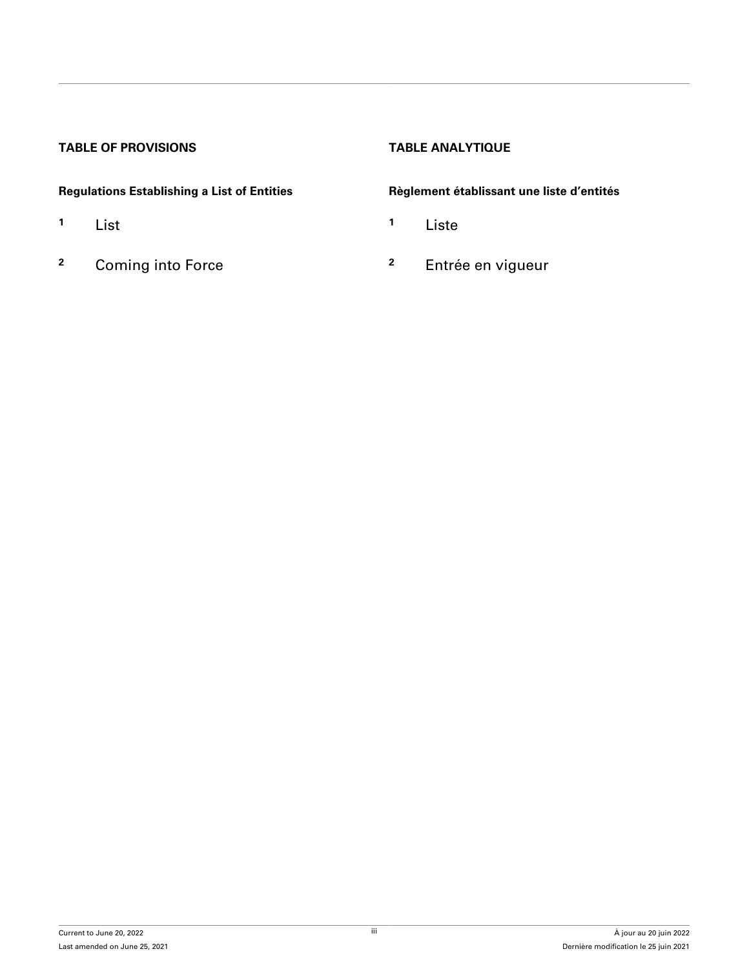## **TABLE OF PROVISIONS TABLE ANALYTIQUE**

| <b>Regulations Establishing a List of Entities</b> |  |  |
|----------------------------------------------------|--|--|
|                                                    |  |  |

**Regulations Establishing a List of Entities Règlement établissant une liste d'entités**

**<sup>1</sup>** [List](#page-4-0) **<sup>1</sup>** [Liste](#page-4-0)

**<sup>2</sup>** [Coming into Force](#page-14-0) **<sup>2</sup>** [Entrée en vigueur](#page-14-0)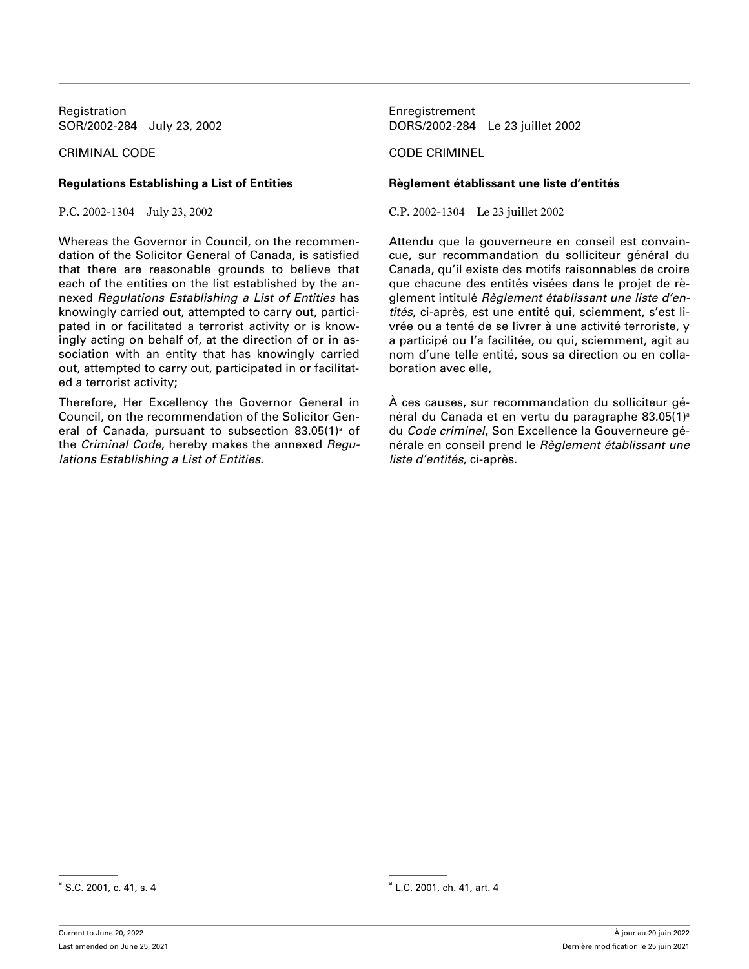Registration **Enregistrement** 

CRIMINAL CODE CODE CRIMINEL

## **Regulations Establishing a List of Entities Règlement établissant une liste d'entités**

Whereas the Governor in Council, on the recommendation of the Solicitor General of Canada, is satisfied that there are reasonable grounds to believe that each of the entities on the list established by the annexed *Regulations Establishing a List of Entities* has knowingly carried out, attempted to carry out, participated in or facilitated a terrorist activity or is knowingly acting on behalf of, at the direction of or in association with an entity that has knowingly carried out, attempted to carry out, participated in or facilitated a terrorist activity;

Therefore, Her Excellency the Governor General in Council, on the recommendation of the Solicitor General of Canada, pursuant to subsection  $83.05(1)$ <sup>a</sup> of the *Criminal Code*, hereby makes the annexed *Regulations Establishing a List of Entities*.

SOR/2002-284 July 23, 2002 DORS/2002-284 Le 23 juillet 2002

P.C. 2002-1304 July 23, 2002 C.P. 2002-1304 Le 23 juillet 2002

Attendu que la gouverneure en conseil est convaincue, sur recommandation du solliciteur général du Canada, qu'il existe des motifs raisonnables de croire que chacune des entités visées dans le projet de règlement intitulé *Règlement établissant une liste d'entités*, ci-après, est une entité qui, sciemment, s'est livrée ou a tenté de se livrer à une activité terroriste, y a participé ou l'a facilitée, ou qui, sciemment, agit au nom d'une telle entité, sous sa direction ou en collaboration avec elle,

À ces causes, sur recommandation du solliciteur général du Canada et en vertu du paragraphe 83.05(1)<sup>a</sup> du *Code criminel*, Son Excellence la Gouverneure générale en conseil prend le *Règlement établissant une liste d'entités*, ci-après.

 $a^{\circ}$  S.C. 2001, c. 41, s. 4 and solved a set of  $a$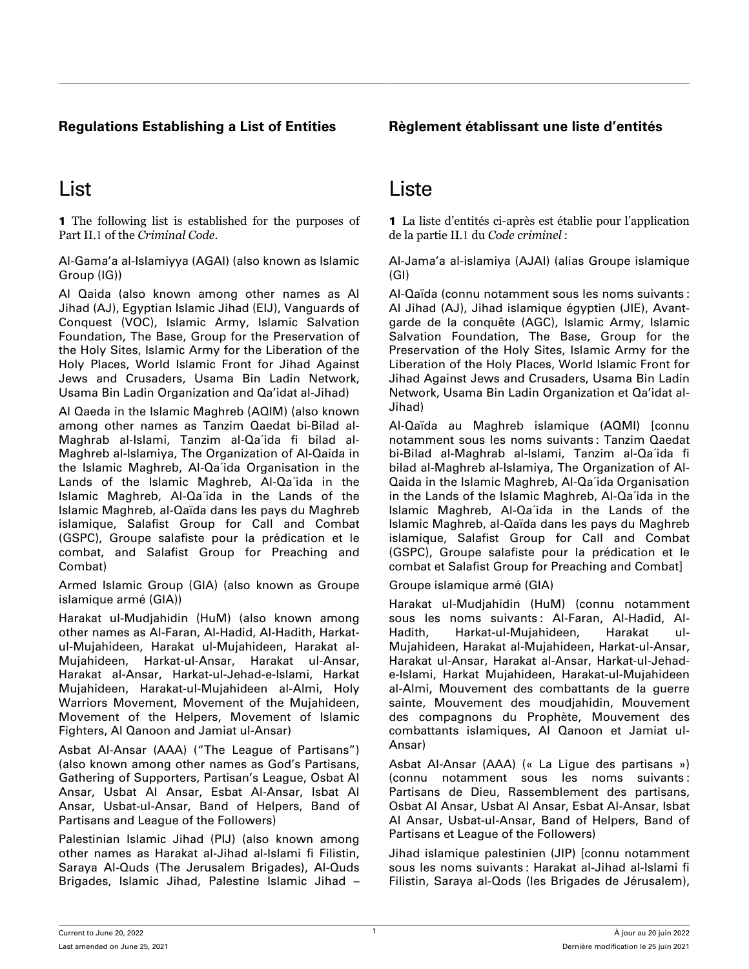## <span id="page-4-0"></span>**Regulations Establishing a List of Entities Règlement établissant une liste d'entités**

1 The following list is established for the purposes of Part II.1 of the *Criminal Code*.

Al-Gama'a al-Islamiyya (AGAI) (also known as Islamic Group (IG))

Al Qaida (also known among other names as Al Jihad (AJ), Egyptian Islamic Jihad (EIJ), Vanguards of Conquest (VOC), Islamic Army, Islamic Salvation Foundation, The Base, Group for the Preservation of the Holy Sites, Islamic Army for the Liberation of the Holy Places, World Islamic Front for Jihad Against Jews and Crusaders, Usama Bin Ladin Network, Usama Bin Ladin Organization and Qa'idat al-Jihad)

Al Qaeda in the Islamic Maghreb (AQIM) (also known among other names as Tanzim Qaedat bi-Bilad al-Maghrab al-Islami, Tanzim al-Qa´ida fi bilad al-Maghreb al-Islamiya, The Organization of Al-Qaida in the Islamic Maghreb, Al-Qa´ida Organisation in the Lands of the Islamic Maghreb, Al-Qa´ida in the Islamic Maghreb, Al-Qa´ida in the Lands of the Islamic Maghreb, al-Qaïda dans les pays du Maghreb islamique, Salafist Group for Call and Combat (GSPC), Groupe salafiste pour la prédication et le combat, and Salafist Group for Preaching and Combat)

Armed Islamic Group (GIA) (also known as Groupe islamique armé (GIA))

Harakat ul-Mudjahidin (HuM) (also known among other names as Al-Faran, Al-Hadid, Al-Hadith, Harkatul-Mujahideen, Harakat ul-Mujahideen, Harakat al-Mujahideen, Harkat-ul-Ansar, Harakat ul-Ansar, Harakat al-Ansar, Harkat-ul-Jehad-e-Islami, Harkat Mujahideen, Harakat-ul-Mujahideen al-Almi, Holy Warriors Movement, Movement of the Mujahideen, Movement of the Helpers, Movement of Islamic Fighters, Al Qanoon and Jamiat ul-Ansar)

Asbat Al-Ansar (AAA) ("The League of Partisans") (also known among other names as God's Partisans, Gathering of Supporters, Partisan's League, Osbat Al Ansar, Usbat Al Ansar, Esbat Al-Ansar, Isbat Al Ansar, Usbat-ul-Ansar, Band of Helpers, Band of Partisans and League of the Followers)

Palestinian Islamic Jihad (PIJ) (also known among other names as Harakat al-Jihad al-Islami fi Filistin, Saraya Al-Quds (The Jerusalem Brigades), Al-Quds Brigades, Islamic Jihad, Palestine Islamic Jihad –

# List Liste

1 La liste d'entités ci-après est établie pour l'application de la partie II.1 du *Code criminel* :

Al-Jama'a al-islamiya (AJAI) (alias Groupe islamique (GI)

Al-Qaïda (connu notamment sous les noms suivants : Al Jihad (AJ), Jihad islamique égyptien (JIE), Avantgarde de la conquête (AGC), Islamic Army, Islamic Salvation Foundation, The Base, Group for the Preservation of the Holy Sites, Islamic Army for the Liberation of the Holy Places, World Islamic Front for Jihad Against Jews and Crusaders, Usama Bin Ladin Network, Usama Bin Ladin Organization et Qa'idat al-Jihad)

Al-Qaïda au Maghreb islamique (AQMI) [connu notamment sous les noms suivants : Tanzim Qaedat bi-Bilad al-Maghrab al-Islami, Tanzim al-Qa´ida fi bilad al-Maghreb al-Islamiya, The Organization of Al-Qaida in the Islamic Maghreb, Al-Qa´ida Organisation in the Lands of the Islamic Maghreb, Al-Qa´ida in the Islamic Maghreb, Al-Qa´ida in the Lands of the Islamic Maghreb, al-Qaïda dans les pays du Maghreb islamique, Salafist Group for Call and Combat (GSPC), Groupe salafiste pour la prédication et le combat et Salafist Group for Preaching and Combat]

Groupe islamique armé (GIA)

Harakat ul-Mudjahidin (HuM) (connu notamment sous les noms suivants : Al-Faran, Al-Hadid, Al-Hadith, Harkat-ul-Mujahideen, Harakat ul-Mujahideen, Harakat al-Mujahideen, Harkat-ul-Ansar, Harakat ul-Ansar, Harakat al-Ansar, Harkat-ul-Jehade-Islami, Harkat Mujahideen, Harakat-ul-Mujahideen al-Almi, Mouvement des combattants de la guerre sainte, Mouvement des moudjahidin, Mouvement des compagnons du Prophète, Mouvement des combattants islamiques, Al Qanoon et Jamiat ul-Ansar)

Asbat Al-Ansar (AAA) (« La Ligue des partisans ») (connu notamment sous les noms suivants : Partisans de Dieu, Rassemblement des partisans, Osbat Al Ansar, Usbat Al Ansar, Esbat Al-Ansar, Isbat Al Ansar, Usbat-ul-Ansar, Band of Helpers, Band of Partisans et League of the Followers)

Jihad islamique palestinien (JIP) [connu notamment sous les noms suivants : Harakat al-Jihad al-Islami fi Filistin, Saraya al-Qods (les Brigades de Jérusalem),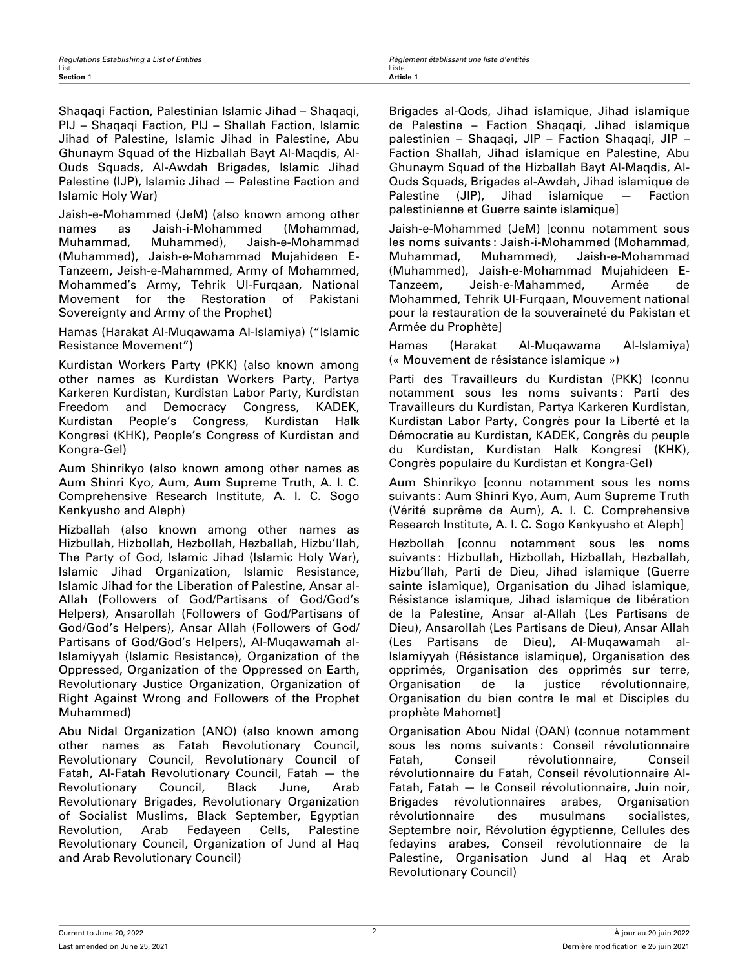Shaqaqi Faction, Palestinian Islamic Jihad – Shaqaqi, PIJ – Shaqaqi Faction, PIJ – Shallah Faction, Islamic Jihad of Palestine, Islamic Jihad in Palestine, Abu Ghunaym Squad of the Hizballah Bayt Al-Maqdis, Al-Quds Squads, Al-Awdah Brigades, Islamic Jihad Palestine (IJP), Islamic Jihad — Palestine Faction and Islamic Holy War)

Jaish-e-Mohammed (JeM) (also known among other names as Jaish-i-Mohammed (Mohammad, Muhammad, Muhammed), Jaish-e-Mohammad (Muhammed), Jaish-e-Mohammad Mujahideen E-Tanzeem, Jeish-e-Mahammed, Army of Mohammed, Mohammed's Army, Tehrik Ul-Furqaan, National Movement for the Restoration of Pakistani Sovereignty and Army of the Prophet)

Hamas (Harakat Al-Muqawama Al-Islamiya) ("Islamic Resistance Movement")

Kurdistan Workers Party (PKK) (also known among other names as Kurdistan Workers Party, Partya Karkeren Kurdistan, Kurdistan Labor Party, Kurdistan Freedom and Democracy Congress, KADEK, Kurdistan People's Congress, Kurdistan Halk Kongresi (KHK), People's Congress of Kurdistan and Kongra-Gel)

Aum Shinrikyo (also known among other names as Aum Shinri Kyo, Aum, Aum Supreme Truth, A. I. C. Comprehensive Research Institute, A. I. C. Sogo Kenkyusho and Aleph)

Hizballah (also known among other names as Hizbullah, Hizbollah, Hezbollah, Hezballah, Hizbu'llah, The Party of God, Islamic Jihad (Islamic Holy War), Islamic Jihad Organization, Islamic Resistance, Islamic Jihad for the Liberation of Palestine, Ansar al-Allah (Followers of God/Partisans of God/God's Helpers), Ansarollah (Followers of God/Partisans of God/God's Helpers), Ansar Allah (Followers of God/ Partisans of God/God's Helpers), Al-Muqawamah al-Islamiyyah (Islamic Resistance), Organization of the Oppressed, Organization of the Oppressed on Earth, Revolutionary Justice Organization, Organization of Right Against Wrong and Followers of the Prophet Muhammed)

Abu Nidal Organization (ANO) (also known among other names as Fatah Revolutionary Council, Revolutionary Council, Revolutionary Council of Fatah, Al-Fatah Revolutionary Council, Fatah — the Revolutionary Council, Black June, Arab Revolutionary Brigades, Revolutionary Organization of Socialist Muslims, Black September, Egyptian Revolution, Arab Fedayeen Cells, Palestine Revolutionary Council, Organization of Jund al Haq and Arab Revolutionary Council)

Brigades al-Qods, Jihad islamique, Jihad islamique de Palestine – Faction Shaqaqi, Jihad islamique palestinien – Shaqaqi, JIP – Faction Shaqaqi, JIP – Faction Shallah, Jihad islamique en Palestine, Abu Ghunaym Squad of the Hizballah Bayt Al-Maqdis, Al-Quds Squads, Brigades al-Awdah, Jihad islamique de Palestine (JIP), Jihad islamique — Faction palestinienne et Guerre sainte islamique]

Jaish-e-Mohammed (JeM) [connu notamment sous les noms suivants : Jaish-i-Mohammed (Mohammad, Muhammad, Muhammed), Jaish-e-Mohammad (Muhammed), Jaish-e-Mohammad Mujahideen E-Tanzeem, Jeish-e-Mahammed, Armée de Mohammed, Tehrik Ul-Furqaan, Mouvement national pour la restauration de la souveraineté du Pakistan et Armée du Prophète]

Hamas (Harakat Al-Muqawama Al-Islamiya) (« Mouvement de résistance islamique »)

Parti des Travailleurs du Kurdistan (PKK) (connu notamment sous les noms suivants : Parti des Travailleurs du Kurdistan, Partya Karkeren Kurdistan, Kurdistan Labor Party, Congrès pour la Liberté et la Démocratie au Kurdistan, KADEK, Congrès du peuple du Kurdistan, Kurdistan Halk Kongresi (KHK), Congrès populaire du Kurdistan et Kongra-Gel)

Aum Shinrikyo [connu notamment sous les noms suivants : Aum Shinri Kyo, Aum, Aum Supreme Truth (Vérité suprême de Aum), A. I. C. Comprehensive Research Institute, A. I. C. Sogo Kenkyusho et Aleph]

Hezbollah [connu notamment sous les noms suivants : Hizbullah, Hizbollah, Hizballah, Hezballah, Hizbu'llah, Parti de Dieu, Jihad islamique (Guerre sainte islamique), Organisation du Jihad islamique, Résistance islamique, Jihad islamique de libération de la Palestine, Ansar al-Allah (Les Partisans de Dieu), Ansarollah (Les Partisans de Dieu), Ansar Allah (Les Partisans de Dieu), Al-Muqawamah al-Islamiyyah (Résistance islamique), Organisation des opprimés, Organisation des opprimés sur terre, Organisation de la justice révolutionnaire, Organisation du bien contre le mal et Disciples du prophète Mahomet]

Organisation Abou Nidal (OAN) (connue notamment sous les noms suivants : Conseil révolutionnaire Fatah, Conseil révolutionnaire, Conseil révolutionnaire du Fatah, Conseil révolutionnaire Al-Fatah, Fatah — le Conseil révolutionnaire, Juin noir, Brigades révolutionnaires arabes, Organisation révolutionnaire des musulmans socialistes, Septembre noir, Révolution égyptienne, Cellules des fedayins arabes, Conseil révolutionnaire de la Palestine, Organisation Jund al Haq et Arab Revolutionary Council)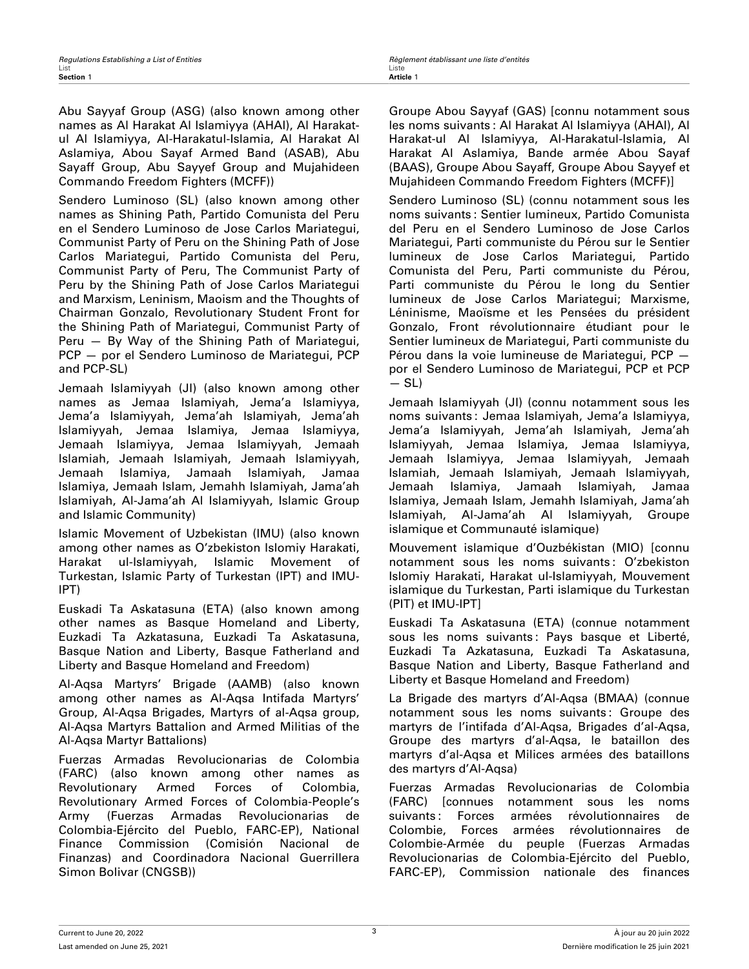Abu Sayyaf Group (ASG) (also known among other names as Al Harakat Al Islamiyya (AHAI), Al Harakatul Al Islamiyya, Al-Harakatul-Islamia, Al Harakat Al Aslamiya, Abou Sayaf Armed Band (ASAB), Abu Sayaff Group, Abu Sayyef Group and Mujahideen Commando Freedom Fighters (MCFF))

Sendero Luminoso (SL) (also known among other names as Shining Path, Partido Comunista del Peru en el Sendero Luminoso de Jose Carlos Mariategui, Communist Party of Peru on the Shining Path of Jose Carlos Mariategui, Partido Comunista del Peru, Communist Party of Peru, The Communist Party of Peru by the Shining Path of Jose Carlos Mariategui and Marxism, Leninism, Maoism and the Thoughts of Chairman Gonzalo, Revolutionary Student Front for the Shining Path of Mariategui, Communist Party of Peru — By Way of the Shining Path of Mariategui, PCP — por el Sendero Luminoso de Mariategui, PCP and PCP-SL)

Jemaah Islamiyyah (JI) (also known among other names as Jemaa Islamiyah, Jema'a Islamiyya, Jema'a Islamiyyah, Jema'ah Islamiyah, Jema'ah Islamiyyah, Jemaa Islamiya, Jemaa Islamiyya, Jemaah Islamiyya, Jemaa Islamiyyah, Jemaah Islamiah, Jemaah Islamiyah, Jemaah Islamiyyah, Jemaah Islamiya, Jamaah Islamiyah, Jamaa Islamiya, Jemaah Islam, Jemahh Islamiyah, Jama'ah Islamiyah, Al-Jama'ah Al Islamiyyah, Islamic Group and Islamic Community)

Islamic Movement of Uzbekistan (IMU) (also known among other names as O'zbekiston Islomiy Harakati, Harakat ul-Islamiyyah, Islamic Movement of Turkestan, Islamic Party of Turkestan (IPT) and IMU-IPT)

Euskadi Ta Askatasuna (ETA) (also known among other names as Basque Homeland and Liberty, Euzkadi Ta Azkatasuna, Euzkadi Ta Askatasuna, Basque Nation and Liberty, Basque Fatherland and Liberty and Basque Homeland and Freedom)

Al-Aqsa Martyrs' Brigade (AAMB) (also known among other names as Al-Aqsa Intifada Martyrs' Group, Al-Aqsa Brigades, Martyrs of al-Aqsa group, Al-Aqsa Martyrs Battalion and Armed Militias of the Al-Aqsa Martyr Battalions)

Fuerzas Armadas Revolucionarias de Colombia (FARC) (also known among other names as Revolutionary Armed Forces of Colombia, Revolutionary Armed Forces of Colombia-People's Army (Fuerzas Armadas Revolucionarias de Colombia-Ejército del Pueblo, FARC-EP), National Finance Commission (Comisión Nacional de Finanzas) and Coordinadora Nacional Guerrillera Simon Bolivar (CNGSB))

Groupe Abou Sayyaf (GAS) [connu notamment sous les noms suivants : Al Harakat Al Islamiyya (AHAI), Al Harakat-ul Al Islamiyya, Al-Harakatul-Islamia, Al Harakat Al Aslamiya, Bande armée Abou Sayaf (BAAS), Groupe Abou Sayaff, Groupe Abou Sayyef et Mujahideen Commando Freedom Fighters (MCFF)]

Sendero Luminoso (SL) (connu notamment sous les noms suivants : Sentier lumineux, Partido Comunista del Peru en el Sendero Luminoso de Jose Carlos Mariategui, Parti communiste du Pérou sur le Sentier lumineux de Jose Carlos Mariategui, Partido Comunista del Peru, Parti communiste du Pérou, Parti communiste du Pérou le long du Sentier lumineux de Jose Carlos Mariategui; Marxisme, Léninisme, Maoïsme et les Pensées du président Gonzalo, Front révolutionnaire étudiant pour le Sentier lumineux de Mariategui, Parti communiste du Pérou dans la voie lumineuse de Mariategui, PCP por el Sendero Luminoso de Mariategui, PCP et PCP  $-$  SL)

Jemaah Islamiyyah (JI) (connu notamment sous les noms suivants : Jemaa Islamiyah, Jema'a Islamiyya, Jema'a Islamiyyah, Jema'ah Islamiyah, Jema'ah Islamiyyah, Jemaa Islamiya, Jemaa Islamiyya, Jemaah Islamiyya, Jemaa Islamiyyah, Jemaah Islamiah, Jemaah Islamiyah, Jemaah Islamiyyah, Jemaah Islamiya, Jamaah Islamiyah, Jamaa Islamiya, Jemaah Islam, Jemahh Islamiyah, Jama'ah Islamiyah, Al-Jama'ah Al Islamiyyah, Groupe islamique et Communauté islamique)

Mouvement islamique d'Ouzbékistan (MIO) [connu notamment sous les noms suivants : O'zbekiston Islomiy Harakati, Harakat ul-Islamiyyah, Mouvement islamique du Turkestan, Parti islamique du Turkestan (PIT) et IMU-IPT]

Euskadi Ta Askatasuna (ETA) (connue notamment sous les noms suivants : Pays basque et Liberté, Euzkadi Ta Azkatasuna, Euzkadi Ta Askatasuna, Basque Nation and Liberty, Basque Fatherland and Liberty et Basque Homeland and Freedom)

La Brigade des martyrs d'Al-Aqsa (BMAA) (connue notamment sous les noms suivants: Groupe des martyrs de l'intifada d'Al-Aqsa, Brigades d'al-Aqsa, Groupe des martyrs d'al-Aqsa, le bataillon des martyrs d'al-Aqsa et Milices armées des bataillons des martyrs d'Al-Aqsa)

Fuerzas Armadas Revolucionarias de Colombia (FARC) [connues notamment sous les noms suivants : Forces armées révolutionnaires de Colombie, Forces armées révolutionnaires de Colombie-Armée du peuple (Fuerzas Armadas Revolucionarias de Colombia-Ejército del Pueblo, FARC-EP), Commission nationale des finances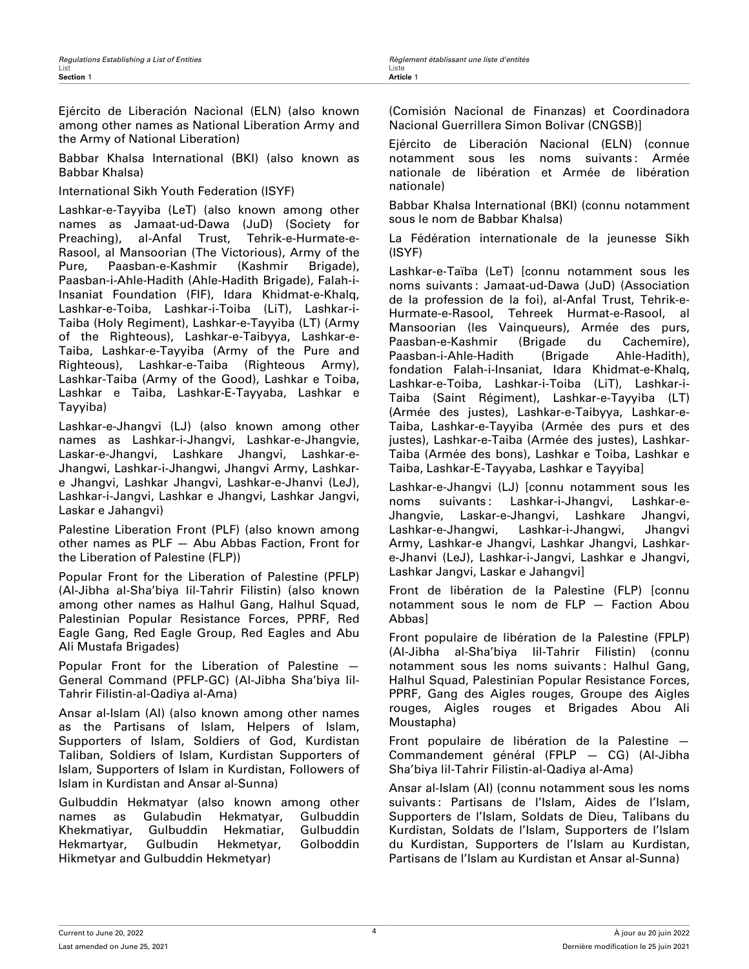Ejército de Liberación Nacional (ELN) (also known among other names as National Liberation Army and the Army of National Liberation)

Babbar Khalsa International (BKI) (also known as Babbar Khalsa)

## International Sikh Youth Federation (ISYF)

Lashkar-e-Tayyiba (LeT) (also known among other names as Jamaat-ud-Dawa (JuD) (Society for Preaching), al-Anfal Trust, Tehrik-e-Hurmate-e-Rasool, al Mansoorian (The Victorious), Army of the Pure, Paasban-e-Kashmir (Kashmir Brigade), Paasban-i-Ahle-Hadith (Ahle-Hadith Brigade), Falah-i-Insaniat Foundation (FIF), Idara Khidmat-e-Khalq, Lashkar-e-Toiba, Lashkar-i-Toiba (LiT), Lashkar-i-Taiba (Holy Regiment), Lashkar-e-Tayyiba (LT) (Army of the Righteous), Lashkar-e-Taibyya, Lashkar-e-Taiba, Lashkar-e-Tayyiba (Army of the Pure and Righteous), Lashkar-e-Taiba (Righteous Army), Lashkar-Taiba (Army of the Good), Lashkar e Toiba, Lashkar e Taiba, Lashkar-E-Tayyaba, Lashkar e Tayyiba)

Lashkar-e-Jhangvi (LJ) (also known among other names as Lashkar-i-Jhangvi, Lashkar-e-Jhangvie, Laskar-e-Jhangvi, Lashkare Jhangvi, Lashkar-e-Jhangwi, Lashkar-i-Jhangwi, Jhangvi Army, Lashkare Jhangvi, Lashkar Jhangvi, Lashkar-e-Jhanvi (LeJ), Lashkar-i-Jangvi, Lashkar e Jhangvi, Lashkar Jangvi, Laskar e Jahangvi)

Palestine Liberation Front (PLF) (also known among other names as PLF — Abu Abbas Faction, Front for the Liberation of Palestine (FLP))

Popular Front for the Liberation of Palestine (PFLP) (Al-Jibha al-Sha'biya lil-Tahrir Filistin) (also known among other names as Halhul Gang, Halhul Squad, Palestinian Popular Resistance Forces, PPRF, Red Eagle Gang, Red Eagle Group, Red Eagles and Abu Ali Mustafa Brigades)

Popular Front for the Liberation of Palestine — General Command (PFLP-GC) (Al-Jibha Sha'biya lil-Tahrir Filistin-al-Qadiya al-Ama)

Ansar al-Islam (AI) (also known among other names as the Partisans of Islam, Helpers of Islam, Supporters of Islam, Soldiers of God, Kurdistan Taliban, Soldiers of Islam, Kurdistan Supporters of Islam, Supporters of Islam in Kurdistan, Followers of Islam in Kurdistan and Ansar al-Sunna)

Gulbuddin Hekmatyar (also known among other names as Gulabudin Hekmatyar, Gulbuddin Khekmatiyar, Gulbuddin Hekmatiar, Gulbuddin Hekmartyar, Gulbudin Hekmetyar, Golboddin Hikmetyar and Gulbuddin Hekmetyar)

(Comisión Nacional de Finanzas) et Coordinadora Nacional Guerrillera Simon Bolivar (CNGSB)]

Ejército de Liberación Nacional (ELN) (connue notamment sous les noms suivants : Armée nationale de libération et Armée de libération nationale)

Babbar Khalsa International (BKI) (connu notamment sous le nom de Babbar Khalsa)

La Fédération internationale de la jeunesse Sikh (ISYF)

Lashkar-e-Taïba (LeT) [connu notamment sous les noms suivants : Jamaat-ud-Dawa (JuD) (Association de la profession de la foi), al-Anfal Trust, Tehrik-e-Hurmate-e-Rasool, Tehreek Hurmat-e-Rasool, al Mansoorian (les Vainqueurs), Armée des purs, Paasban-e-Kashmir (Brigade du Cachemire), Paasban-i-Ahle-Hadith (Brigade Ahle-Hadith), fondation Falah-i-Insaniat, Idara Khidmat-e-Khalq, Lashkar-e-Toiba, Lashkar-i-Toiba (LiT), Lashkar-i-Taiba (Saint Régiment), Lashkar-e-Tayyiba (LT) (Armée des justes), Lashkar-e-Taibyya, Lashkar-e-Taiba, Lashkar-e-Tayyiba (Armée des purs et des justes), Lashkar-e-Taiba (Armée des justes), Lashkar-Taiba (Armée des bons), Lashkar e Toiba, Lashkar e Taiba, Lashkar-E-Tayyaba, Lashkar e Tayyiba]

Lashkar-e-Jhangvi (LJ) [connu notamment sous les noms suivants: Lashkar-i-Jhangvi, Lashkar-e-Jhangvie, Laskar-e-Jhangvi, Lashkare Jhangvi, Lashkar-e-Jhangwi, Lashkar-i-Jhangwi, Jhangvi Army, Lashkar-e Jhangvi, Lashkar Jhangvi, Lashkare-Jhanvi (LeJ), Lashkar-i-Jangvi, Lashkar e Jhangvi, Lashkar Jangvi, Laskar e Jahangvi]

Front de libération de la Palestine (FLP) [connu notamment sous le nom de FLP — Faction Abou Abbas]

Front populaire de libération de la Palestine (FPLP) (Al-Jibha al-Sha'biya lil-Tahrir Filistin) (connu notamment sous les noms suivants : Halhul Gang, Halhul Squad, Palestinian Popular Resistance Forces, PPRF, Gang des Aigles rouges, Groupe des Aigles rouges, Aigles rouges et Brigades Abou Ali Moustapha)

Front populaire de libération de la Palestine — Commandement général (FPLP — CG) (Al-Jibha Sha'biya lil-Tahrir Filistin-al-Qadiya al-Ama)

Ansar al-Islam (AI) (connu notamment sous les noms suivants : Partisans de l'Islam, Aides de l'Islam, Supporters de l'Islam, Soldats de Dieu, Talibans du Kurdistan, Soldats de l'Islam, Supporters de l'Islam du Kurdistan, Supporters de l'Islam au Kurdistan, Partisans de l'Islam au Kurdistan et Ansar al-Sunna)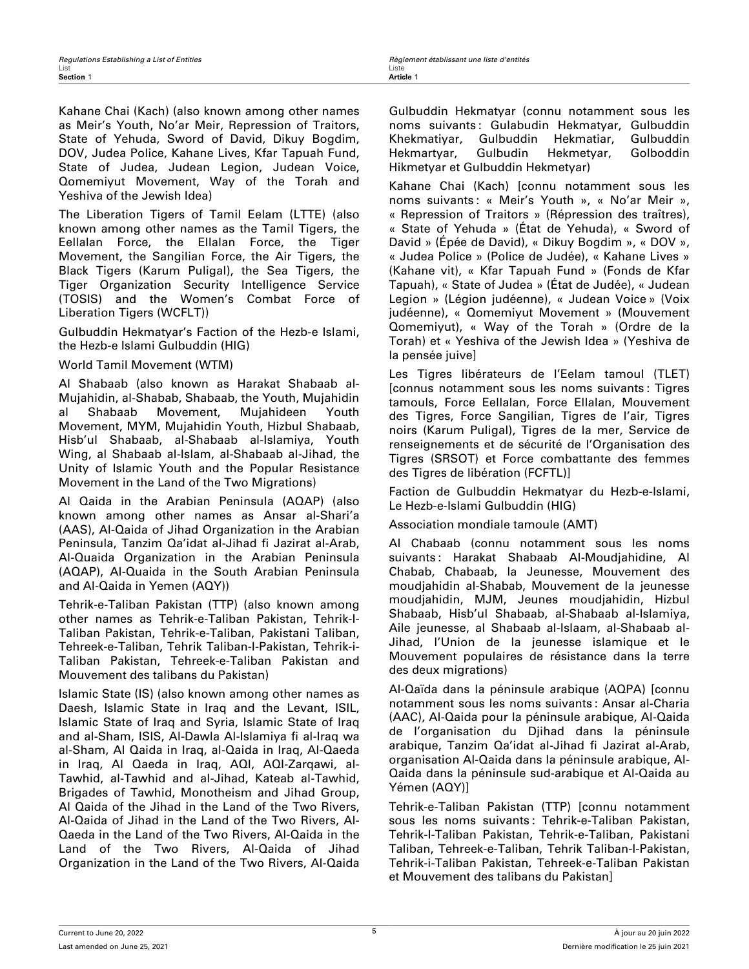Kahane Chai (Kach) (also known among other names as Meir's Youth, No'ar Meir, Repression of Traitors, State of Yehuda, Sword of David, Dikuy Bogdim, DOV, Judea Police, Kahane Lives, Kfar Tapuah Fund, State of Judea, Judean Legion, Judean Voice, Qomemiyut Movement, Way of the Torah and Yeshiva of the Jewish Idea)

The Liberation Tigers of Tamil Eelam (LTTE) (also known among other names as the Tamil Tigers, the Eellalan Force, the Ellalan Force, the Tiger Movement, the Sangilian Force, the Air Tigers, the Black Tigers (Karum Puligal), the Sea Tigers, the Tiger Organization Security Intelligence Service (TOSIS) and the Women's Combat Force of Liberation Tigers (WCFLT))

Gulbuddin Hekmatyar's Faction of the Hezb-e Islami, the Hezb-e Islami Gulbuddin (HIG)

World Tamil Movement (WTM)

Al Shabaab (also known as Harakat Shabaab al-Mujahidin, al-Shabab, Shabaab, the Youth, Mujahidin al Shabaab Movement, Mujahideen Youth Movement, MYM, Mujahidin Youth, Hizbul Shabaab, Hisb'ul Shabaab, al-Shabaab al-Islamiya, Youth Wing, al Shabaab al-Islam, al-Shabaab al-Jihad, the Unity of Islamic Youth and the Popular Resistance Movement in the Land of the Two Migrations)

Al Qaida in the Arabian Peninsula (AQAP) (also known among other names as Ansar al-Shari'a (AAS), Al-Qaida of Jihad Organization in the Arabian Peninsula, Tanzim Qa'idat al-Jihad fi Jazirat al-Arab, Al-Quaida Organization in the Arabian Peninsula (AQAP), Al-Quaida in the South Arabian Peninsula and Al-Qaida in Yemen (AQY))

Tehrik-e-Taliban Pakistan (TTP) (also known among other names as Tehrik-e-Taliban Pakistan, Tehrik-I-Taliban Pakistan, Tehrik-e-Taliban, Pakistani Taliban, Tehreek-e-Taliban, Tehrik Taliban-I-Pakistan, Tehrik-i-Taliban Pakistan, Tehreek-e-Taliban Pakistan and Mouvement des talibans du Pakistan)

Islamic State (IS) (also known among other names as Daesh, Islamic State in Iraq and the Levant, ISIL, Islamic State of Iraq and Syria, Islamic State of Iraq and al-Sham, ISIS, Al-Dawla Al-Islamiya fi al-Iraq wa al-Sham, Al Qaida in Iraq, al-Qaida in Iraq, Al-Qaeda in Iraq, Al Qaeda in Iraq, AQI, AQI-Zarqawi, al-Tawhid, al-Tawhid and al-Jihad, Kateab al-Tawhid, Brigades of Tawhid, Monotheism and Jihad Group, Al Qaida of the Jihad in the Land of the Two Rivers, Al-Qaida of Jihad in the Land of the Two Rivers, Al-Qaeda in the Land of the Two Rivers, Al-Qaida in the Land of the Two Rivers, Al-Qaida of Jihad Organization in the Land of the Two Rivers, Al-Qaida

Gulbuddin Hekmatyar (connu notamment sous les noms suivants : Gulabudin Hekmatyar, Gulbuddin Khekmatiyar, Gulbuddin Hekmatiar, Gulbuddin Hekmartyar, Gulbudin Hekmetyar, Golboddin Hikmetyar et Gulbuddin Hekmetyar)

Kahane Chai (Kach) [connu notamment sous les noms suivants: « Meir's Youth », « No'ar Meir », « Repression of Traitors » (Répression des traîtres), « State of Yehuda » (État de Yehuda), « Sword of David » (Épée de David), « Dikuy Bogdim », « DOV », « Judea Police » (Police de Judée), « Kahane Lives » (Kahane vit), « Kfar Tapuah Fund » (Fonds de Kfar Tapuah), « State of Judea » (État de Judée), « Judean Legion » (Légion judéenne), « Judean Voice » (Voix judéenne), « Qomemiyut Movement » (Mouvement Qomemiyut), « Way of the Torah » (Ordre de la Torah) et « Yeshiva of the Jewish Idea » (Yeshiva de la pensée juive]

Les Tigres libérateurs de l'Eelam tamoul (TLET) [connus notamment sous les noms suivants : Tigres tamouls, Force Eellalan, Force Ellalan, Mouvement des Tigres, Force Sangilian, Tigres de l'air, Tigres noirs (Karum Puligal), Tigres de la mer, Service de renseignements et de sécurité de l'Organisation des Tigres (SRSOT) et Force combattante des femmes des Tigres de libération (FCFTL)]

Faction de Gulbuddin Hekmatyar du Hezb-e-Islami, Le Hezb-e-Islami Gulbuddin (HIG)

Association mondiale tamoule (AMT)

Al Chabaab (connu notamment sous les noms suivants : Harakat Shabaab Al-Moudjahidine, Al Chabab, Chabaab, la Jeunesse, Mouvement des moudjahidin al-Shabab, Mouvement de la jeunesse moudjahidin, MJM, Jeunes moudjahidin, Hizbul Shabaab, Hisb'ul Shabaab, al-Shabaab al-Islamiya, Aile jeunesse, al Shabaab al-Islaam, al-Shabaab al-Jihad, l'Union de la jeunesse islamique et le Mouvement populaires de résistance dans la terre des deux migrations)

Al-Qaïda dans la péninsule arabique (AQPA) [connu notamment sous les noms suivants : Ansar al-Charia (AAC), Al-Qaida pour la péninsule arabique, Al-Qaida de l'organisation du Djihad dans la péninsule arabique, Tanzim Qa'idat al-Jihad fi Jazirat al-Arab, organisation Al-Qaida dans la péninsule arabique, Al-Qaida dans la péninsule sud-arabique et Al-Qaida au Yémen (AQY)]

Tehrik-e-Taliban Pakistan (TTP) [connu notamment sous les noms suivants : Tehrik-e-Taliban Pakistan, Tehrik-I-Taliban Pakistan, Tehrik-e-Taliban, Pakistani Taliban, Tehreek-e-Taliban, Tehrik Taliban-I-Pakistan, Tehrik-i-Taliban Pakistan, Tehreek-e-Taliban Pakistan et Mouvement des talibans du Pakistan]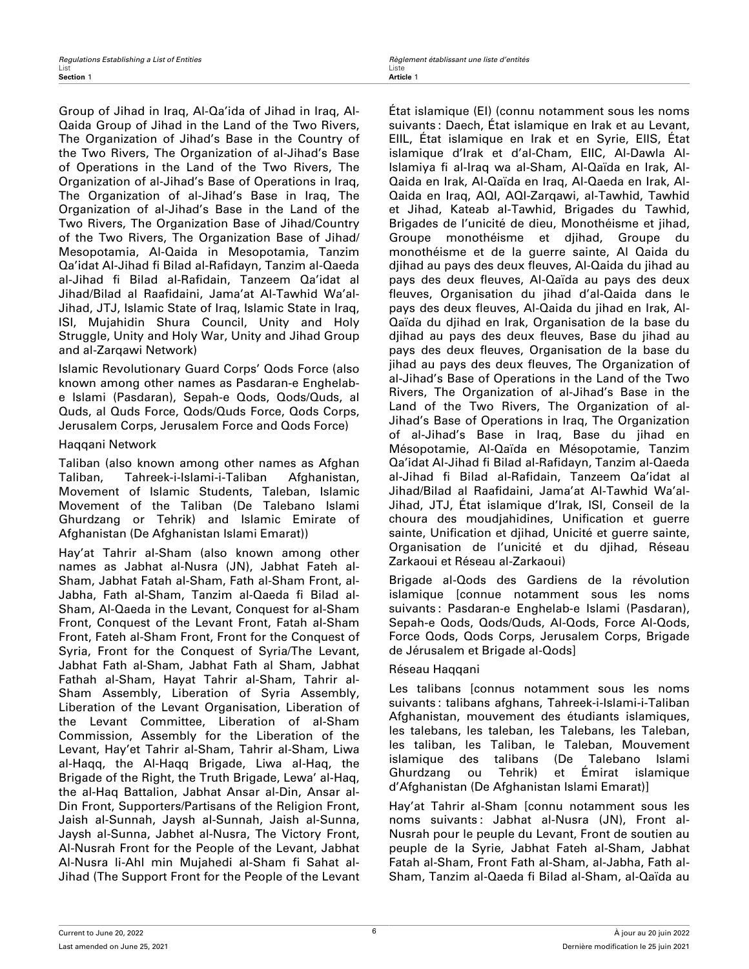Group of Jihad in Iraq, Al-Qa'ida of Jihad in Iraq, Al-Qaida Group of Jihad in the Land of the Two Rivers, The Organization of Jihad's Base in the Country of the Two Rivers, The Organization of al-Jihad's Base of Operations in the Land of the Two Rivers, The Organization of al-Jihad's Base of Operations in Iraq, The Organization of al-Jihad's Base in Iraq, The Organization of al-Jihad's Base in the Land of the Two Rivers, The Organization Base of Jihad/Country of the Two Rivers, The Organization Base of Jihad/ Mesopotamia, Al-Qaida in Mesopotamia, Tanzim Qa'idat Al-Jihad fi Bilad al-Rafidayn, Tanzim al-Qaeda al-Jihad fi Bilad al-Rafidain, Tanzeem Qa'idat al Jihad/Bilad al Raafidaini, Jama'at Al-Tawhid Wa'al-Jihad, JTJ, Islamic State of Iraq, Islamic State in Iraq, ISI, Mujahidin Shura Council, Unity and Holy Struggle, Unity and Holy War, Unity and Jihad Group and al-Zarqawi Network)

Islamic Revolutionary Guard Corps' Qods Force (also known among other names as Pasdaran-e Enghelabe Islami (Pasdaran), Sepah-e Qods, Qods/Quds, al Quds, al Quds Force, Qods/Quds Force, Qods Corps, Jerusalem Corps, Jerusalem Force and Qods Force)

## Haqqani Network

Taliban (also known among other names as Afghan Taliban, Tahreek-i-Islami-i-Taliban Afghanistan, Movement of Islamic Students, Taleban, Islamic Movement of the Taliban (De Talebano Islami Ghurdzang or Tehrik) and Islamic Emirate of Afghanistan (De Afghanistan Islami Emarat))

Hay'at Tahrir al-Sham (also known among other names as Jabhat al-Nusra (JN), Jabhat Fateh al-Sham, Jabhat Fatah al-Sham, Fath al-Sham Front, al-Jabha, Fath al-Sham, Tanzim al-Qaeda fi Bilad al-Sham, Al-Qaeda in the Levant, Conquest for al-Sham Front, Conquest of the Levant Front, Fatah al-Sham Front, Fateh al-Sham Front, Front for the Conquest of Syria, Front for the Conquest of Syria/The Levant, Jabhat Fath al-Sham, Jabhat Fath al Sham, Jabhat Fathah al-Sham, Hayat Tahrir al-Sham, Tahrir al-Sham Assembly, Liberation of Syria Assembly, Liberation of the Levant Organisation, Liberation of the Levant Committee, Liberation of al-Sham Commission, Assembly for the Liberation of the Levant, Hay'et Tahrir al-Sham, Tahrir al-Sham, Liwa al-Haqq, the Al-Haqq Brigade, Liwa al-Haq, the Brigade of the Right, the Truth Brigade, Lewa' al-Haq, the al-Haq Battalion, Jabhat Ansar al-Din, Ansar al-Din Front, Supporters/Partisans of the Religion Front, Jaish al-Sunnah, Jaysh al-Sunnah, Jaish al-Sunna, Jaysh al-Sunna, Jabhet al-Nusra, The Victory Front, Al-Nusrah Front for the People of the Levant, Jabhat Al-Nusra li-Ahl min Mujahedi al-Sham fi Sahat al-Jihad (The Support Front for the People of the Levant État islamique (EI) (connu notamment sous les noms suivants : Daech, État islamique en Irak et au Levant, EIIL, État islamique en Irak et en Syrie, EIIS, État islamique d'Irak et d'al-Cham, EIIC, Al-Dawla Al-Islamiya fi al-Iraq wa al-Sham, Al-Qaïda en Irak, Al-Qaida en Irak, Al-Qaïda en Iraq, Al-Qaeda en Irak, Al-Qaida en Iraq, AQI, AQI-Zarqawi, al-Tawhid, Tawhid et Jihad, Kateab al-Tawhid, Brigades du Tawhid, Brigades de l'unicité de dieu, Monothéisme et jihad, Groupe monothéisme et djihad, Groupe du monothéisme et de la guerre sainte, Al Qaida du djihad au pays des deux fleuves, Al-Qaida du jihad au pays des deux fleuves, Al-Qaïda au pays des deux fleuves, Organisation du jihad d'al-Qaida dans le pays des deux fleuves, Al-Qaida du jihad en Irak, Al-Qaïda du djihad en Irak, Organisation de la base du djihad au pays des deux fleuves, Base du jihad au pays des deux fleuves, Organisation de la base du jihad au pays des deux fleuves, The Organization of al-Jihad's Base of Operations in the Land of the Two Rivers, The Organization of al-Jihad's Base in the Land of the Two Rivers, The Organization of al-Jihad's Base of Operations in Iraq, The Organization of al-Jihad's Base in Iraq, Base du jihad en Mésopotamie, Al-Qaïda en Mésopotamie, Tanzim Qa'idat Al-Jihad fi Bilad al-Rafidayn, Tanzim al-Qaeda al-Jihad fi Bilad al-Rafidain, Tanzeem Qa'idat al Jihad/Bilad al Raafidaini, Jama'at Al-Tawhid Wa'al-Jihad, JTJ, État islamique d'Irak, ISI, Conseil de la choura des moudjahidines, Unification et guerre sainte, Unification et djihad, Unicité et guerre sainte, Organisation de l'unicité et du djihad, Réseau Zarkaoui et Réseau al-Zarkaoui)

Brigade al-Qods des Gardiens de la révolution islamique [connue notamment sous les noms suivants : Pasdaran-e Enghelab-e Islami (Pasdaran), Sepah-e Qods, Qods/Quds, Al-Qods, Force Al-Qods, Force Qods, Qods Corps, Jerusalem Corps, Brigade de Jérusalem et Brigade al-Qods]

## Réseau Haqqani

Les talibans [connus notamment sous les noms suivants : talibans afghans, Tahreek-i-Islami-i-Taliban Afghanistan, mouvement des étudiants islamiques, les talebans, les taleban, les Talebans, les Taleban, les taliban, les Taliban, le Taleban, Mouvement islamique des talibans (De Talebano Islami Ghurdzang ou Tehrik) et Émirat islamique d'Afghanistan (De Afghanistan Islami Emarat)]

Hay'at Tahrir al-Sham [connu notamment sous les noms suivants: Jabhat al-Nusra (JN), Front al-Nusrah pour le peuple du Levant, Front de soutien au peuple de la Syrie, Jabhat Fateh al-Sham, Jabhat Fatah al-Sham, Front Fath al-Sham, al-Jabha, Fath al-Sham, Tanzim al-Qaeda fi Bilad al-Sham, al-Qaïda au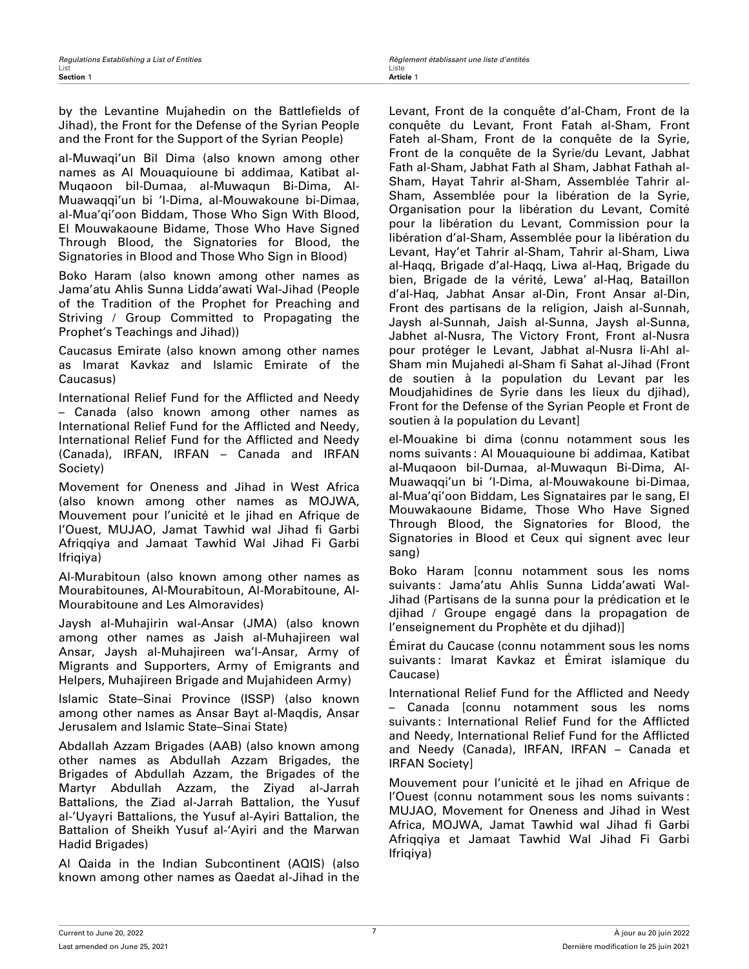by the Levantine Mujahedin on the Battlefields of Jihad), the Front for the Defense of the Syrian People and the Front for the Support of the Syrian People)

al-Muwaqi'un Bil Dima (also known among other names as Al Mouaquioune bi addimaa, Katibat al-Muqaoon bil-Dumaa, al-Muwaqun Bi-Dima, Al-Muawaqqi'un bi 'l-Dima, al-Mouwakoune bi-Dimaa, al-Mua'qi'oon Biddam, Those Who Sign With Blood, El Mouwakaoune Bidame, Those Who Have Signed Through Blood, the Signatories for Blood, the Signatories in Blood and Those Who Sign in Blood)

Boko Haram (also known among other names as Jama'atu Ahlis Sunna Lidda'awati Wal-Jihad (People of the Tradition of the Prophet for Preaching and Striving / Group Committed to Propagating the Prophet's Teachings and Jihad))

Caucasus Emirate (also known among other names as Imarat Kavkaz and Islamic Emirate of the Caucasus)

International Relief Fund for the Afflicted and Needy – Canada (also known among other names as International Relief Fund for the Afflicted and Needy, International Relief Fund for the Afflicted and Needy (Canada), IRFAN, IRFAN – Canada and IRFAN Society)

Movement for Oneness and Jihad in West Africa (also known among other names as MOJWA, Mouvement pour l'unicité et le jihad en Afrique de l'Ouest, MUJAO, Jamat Tawhid wal Jihad fi Garbi Afriqqiya and Jamaat Tawhid Wal Jihad Fi Garbi Ifriqiya)

Al-Murabitoun (also known among other names as Mourabitounes, Al-Mourabitoun, Al-Morabitoune, Al-Mourabitoune and Les Almoravides)

Jaysh al-Muhajirin wal-Ansar (JMA) (also known among other names as Jaish al-Muhajireen wal Ansar, Jaysh al-Muhajireen wa'l-Ansar, Army of Migrants and Supporters, Army of Emigrants and Helpers, Muhajireen Brigade and Mujahideen Army)

Islamic State–Sinai Province (ISSP) (also known among other names as Ansar Bayt al-Maqdis, Ansar Jerusalem and Islamic State–Sinai State)

Abdallah Azzam Brigades (AAB) (also known among other names as Abdullah Azzam Brigades, the Brigades of Abdullah Azzam, the Brigades of the Martyr Abdullah Azzam, the Ziyad al-Jarrah Battalions, the Ziad al-Jarrah Battalion, the Yusuf al-'Uyayri Battalions, the Yusuf al-Ayiri Battalion, the Battalion of Sheikh Yusuf al-'Ayiri and the Marwan Hadid Brigades)

Al Qaida in the Indian Subcontinent (AQIS) (also known among other names as Qaedat al-Jihad in the Levant, Front de la conquête d'al-Cham, Front de la conquête du Levant, Front Fatah al-Sham, Front Fateh al-Sham, Front de la conquête de la Syrie, Front de la conquête de la Syrie/du Levant, Jabhat Fath al-Sham, Jabhat Fath al Sham, Jabhat Fathah al-Sham, Hayat Tahrir al-Sham, Assemblée Tahrir al-Sham, Assemblée pour la libération de la Syrie, Organisation pour la libération du Levant, Comité pour la libération du Levant, Commission pour la libération d'al-Sham, Assemblée pour la libération du Levant, Hay'et Tahrir al-Sham, Tahrir al-Sham, Liwa al-Haqq, Brigade d'al-Haqq, Liwa al-Haq, Brigade du bien, Brigade de la vérité, Lewa' al-Haq, Bataillon d'al-Haq, Jabhat Ansar al-Din, Front Ansar al-Din, Front des partisans de la religion, Jaish al-Sunnah, Jaysh al-Sunnah, Jaish al-Sunna, Jaysh al-Sunna, Jabhet al-Nusra, The Victory Front, Front al-Nusra pour protéger le Levant, Jabhat al-Nusra li-Ahl al-Sham min Mujahedi al-Sham fi Sahat al-Jihad (Front de soutien à la population du Levant par les Moudjahidines de Syrie dans les lieux du djihad), Front for the Defense of the Syrian People et Front de soutien à la population du Levant]

el-Mouakine bi dima (connu notamment sous les noms suivants : Al Mouaquioune bi addimaa, Katibat al-Muqaoon bil-Dumaa, al-Muwaqun Bi-Dima, Al-Muawaqqi'un bi 'l-Dima, al-Mouwakoune bi-Dimaa, al-Mua'qi'oon Biddam, Les Signataires par le sang, El Mouwakaoune Bidame, Those Who Have Signed Through Blood, the Signatories for Blood, the Signatories in Blood et Ceux qui signent avec leur sang)

Boko Haram [connu notamment sous les noms suivants : Jama'atu Ahlis Sunna Lidda'awati Wal-Jihad (Partisans de la sunna pour la prédication et le djihad / Groupe engagé dans la propagation de l'enseignement du Prophète et du djihad)]

Émirat du Caucase (connu notamment sous les noms suivants : Imarat Kavkaz et Émirat islamique du Caucase)

International Relief Fund for the Afflicted and Needy – Canada [connu notamment sous les noms suivants : International Relief Fund for the Afflicted and Needy, International Relief Fund for the Afflicted and Needy (Canada), IRFAN, IRFAN – Canada et IRFAN Society]

Mouvement pour l'unicité et le jihad en Afrique de l'Ouest (connu notamment sous les noms suivants : MUJAO, Movement for Oneness and Jihad in West Africa, MOJWA, Jamat Tawhid wal Jihad fi Garbi Afriqqiya et Jamaat Tawhid Wal Jihad Fi Garbi Ifriqiya)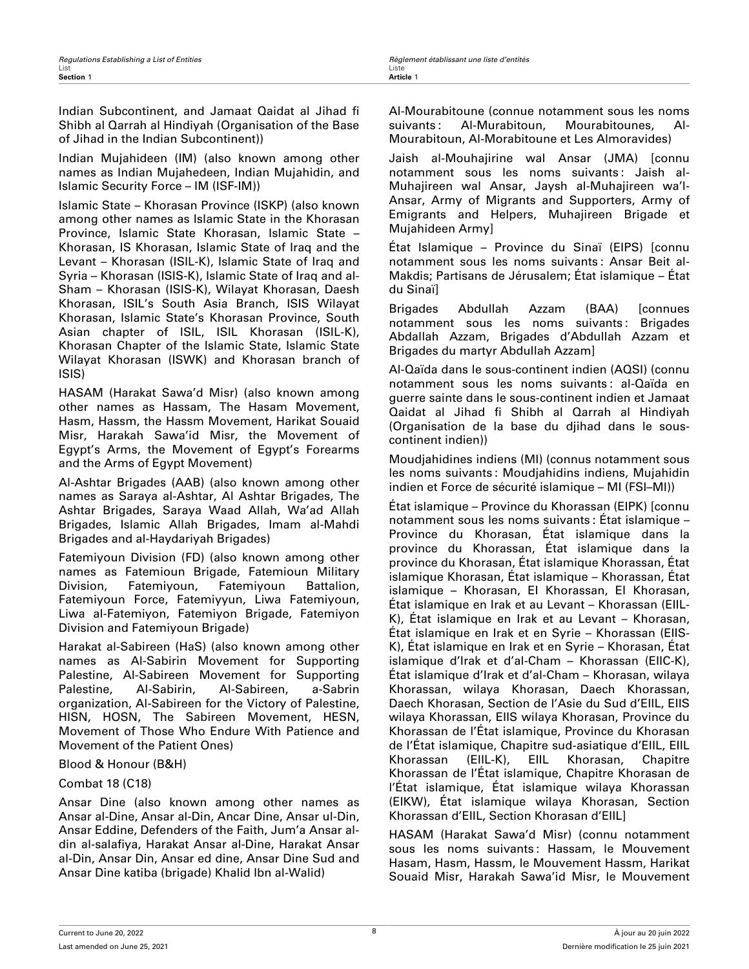Indian Subcontinent, and Jamaat Qaidat al Jihad fi Shibh al Qarrah al Hindiyah (Organisation of the Base of Jihad in the Indian Subcontinent))

Indian Mujahideen (IM) (also known among other names as Indian Mujahedeen, Indian Mujahidin, and Islamic Security Force – IM (ISF-IM))

Islamic State – Khorasan Province (ISKP) (also known among other names as Islamic State in the Khorasan Province, Islamic State Khorasan, Islamic State – Khorasan, IS Khorasan, Islamic State of Iraq and the Levant – Khorasan (ISIL-K), Islamic State of Iraq and Syria – Khorasan (ISIS-K), Islamic State of Iraq and al-Sham – Khorasan (ISIS-K), Wilayat Khorasan, Daesh Khorasan, ISIL's South Asia Branch, ISIS Wilayat Khorasan, Islamic State's Khorasan Province, South Asian chapter of ISIL, ISIL Khorasan (ISIL-K), Khorasan Chapter of the Islamic State, Islamic State Wilayat Khorasan (ISWK) and Khorasan branch of ISIS)

HASAM (Harakat Sawa'd Misr) (also known among other names as Hassam, The Hasam Movement, Hasm, Hassm, the Hassm Movement, Harikat Souaid Misr, Harakah Sawa'id Misr, the Movement of Egypt's Arms, the Movement of Egypt's Forearms and the Arms of Egypt Movement)

Al-Ashtar Brigades (AAB) (also known among other names as Saraya al-Ashtar, Al Ashtar Brigades, The Ashtar Brigades, Saraya Waad Allah, Wa'ad Allah Brigades, Islamic Allah Brigades, Imam al-Mahdi Brigades and al-Haydariyah Brigades)

Fatemiyoun Division (FD) (also known among other names as Fatemioun Brigade, Fatemioun Military Division, Fatemiyoun, Fatemiyoun Battalion, Fatemiyoun Force, Fatemiyyun, Liwa Fatemiyoun, Liwa al-Fatemiyon, Fatemiyon Brigade, Fatemiyon Division and Fatemiyoun Brigade)

Harakat al-Sabireen (HaS) (also known among other names as Al-Sabirin Movement for Supporting Palestine, Al-Sabireen Movement for Supporting Palestine, Al-Sabirin, Al-Sabireen, a-Sabrin organization, Al-Sabireen for the Victory of Palestine, HISN, HOSN, The Sabireen Movement, HESN, Movement of Those Who Endure With Patience and Movement of the Patient Ones)

## Blood & Honour (B&H)

## Combat 18 (C18)

Ansar Dine (also known among other names as Ansar al-Dine, Ansar al-Din, Ancar Dine, Ansar ul-Din, Ansar Eddine, Defenders of the Faith, Jum'a Ansar aldin al-salafiya, Harakat Ansar al-Dine, Harakat Ansar al-Din, Ansar Din, Ansar ed dine, Ansar Dine Sud and Ansar Dine katiba (brigade) Khalid Ibn al-Walid)

Al-Mourabitoune (connue notamment sous les noms suivants : Al-Murabitoun, Mourabitounes, Al-Mourabitoun, Al-Morabitoune et Les Almoravides)

Jaish al-Mouhajirine wal Ansar (JMA) [connu notamment sous les noms suivants: Jaish al-Muhajireen wal Ansar, Jaysh al-Muhajireen wa'l-Ansar, Army of Migrants and Supporters, Army of Emigrants and Helpers, Muhajireen Brigade et Mujahideen Army]

État Islamique – Province du Sinaï (EIPS) [connu notamment sous les noms suivants : Ansar Beit al-Makdis; Partisans de Jérusalem; État islamique – État du Sinaï]

Brigades Abdullah Azzam (BAA) [connues notamment sous les noms suivants: Brigades Abdallah Azzam, Brigades d'Abdullah Azzam et Brigades du martyr Abdullah Azzam]

Al-Qaïda dans le sous-continent indien (AQSI) (connu notamment sous les noms suivants: al-Qaïda en guerre sainte dans le sous-continent indien et Jamaat Qaidat al Jihad fi Shibh al Qarrah al Hindiyah (Organisation de la base du djihad dans le souscontinent indien))

Moudjahidines indiens (MI) (connus notamment sous les noms suivants : Moudjahidins indiens, Mujahidin indien et Force de sécurité islamique – MI (FSI–MI))

État islamique – Province du Khorassan (EIPK) [connu notamment sous les noms suivants : État islamique – Province du Khorasan, État islamique dans la province du Khorassan, État islamique dans la province du Khorasan, État islamique Khorassan, État islamique Khorasan, État islamique – Khorassan, État islamique – Khorasan, EI Khorassan, EI Khorasan, État islamique en Irak et au Levant – Khorassan (EIIL-K), État islamique en Irak et au Levant – Khorasan, État islamique en Irak et en Syrie – Khorassan (EIIS-K), État islamique en Irak et en Syrie – Khorasan, État islamique d'Irak et d'al-Cham – Khorassan (EIIC-K), État islamique d'Irak et d'al-Cham – Khorasan, wilaya Khorassan, wilaya Khorasan, Daech Khorassan, Daech Khorasan, Section de l'Asie du Sud d'EIIL, EIIS wilaya Khorassan, EIIS wilaya Khorasan, Province du Khorassan de l'État islamique, Province du Khorasan de l'État islamique, Chapitre sud-asiatique d'EIIL, EIIL Khorassan (EIIL-K), EIIL Khorasan, Chapitre Khorassan de l'État islamique, Chapitre Khorasan de l'État islamique, État islamique wilaya Khorassan (EIKW), État islamique wilaya Khorasan, Section Khorassan d'EIIL, Section Khorasan d'EIIL]

HASAM (Harakat Sawa'd Misr) (connu notamment sous les noms suivants : Hassam, le Mouvement Hasam, Hasm, Hassm, le Mouvement Hassm, Harikat Souaid Misr, Harakah Sawa'id Misr, le Mouvement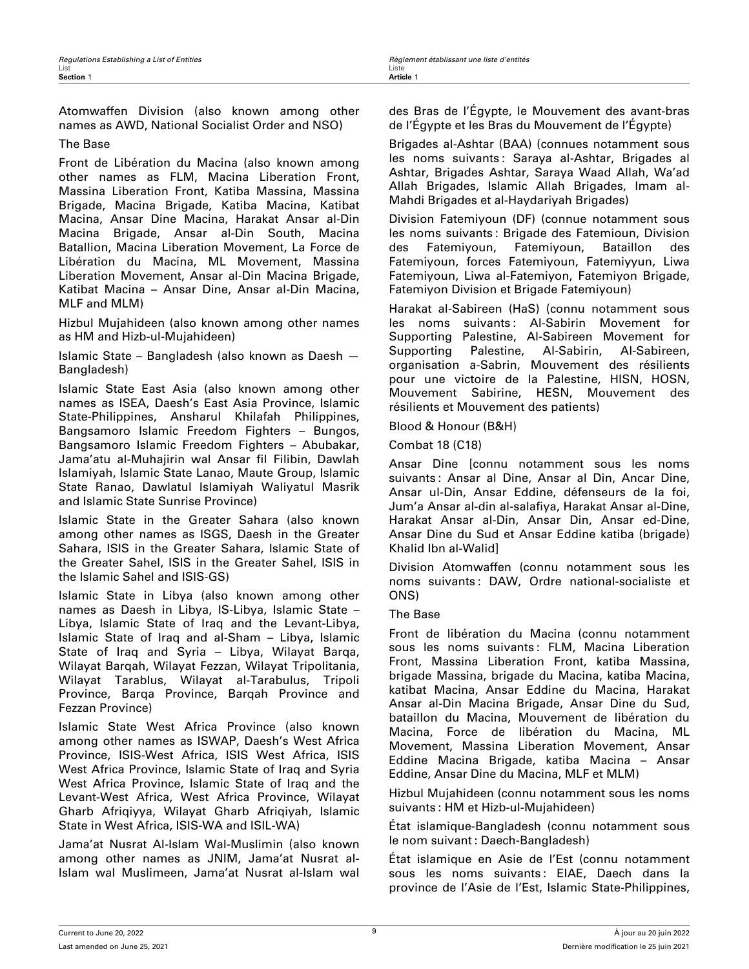Atomwaffen Division (also known among other names as AWD, National Socialist Order and NSO)

## The Base

Front de Libération du Macina (also known among other names as FLM, Macina Liberation Front, Massina Liberation Front, Katiba Massina, Massina Brigade, Macina Brigade, Katiba Macina, Katibat Macina, Ansar Dine Macina, Harakat Ansar al-Din Macina Brigade, Ansar al-Din South, Macina Batallion, Macina Liberation Movement, La Force de Libération du Macina, ML Movement, Massina Liberation Movement, Ansar al-Din Macina Brigade, Katibat Macina – Ansar Dine, Ansar al-Din Macina, MLF and MLM)

Hizbul Mujahideen (also known among other names as HM and Hizb-ul-Mujahideen)

Islamic State – Bangladesh (also known as Daesh — Bangladesh)

Islamic State East Asia (also known among other names as ISEA, Daesh's East Asia Province, Islamic State-Philippines, Ansharul Khilafah Philippines, Bangsamoro Islamic Freedom Fighters – Bungos, Bangsamoro Islamic Freedom Fighters – Abubakar, Jama'atu al-Muhajirin wal Ansar fil Filibin, Dawlah Islamiyah, Islamic State Lanao, Maute Group, Islamic State Ranao, Dawlatul Islamiyah Waliyatul Masrik and Islamic State Sunrise Province)

Islamic State in the Greater Sahara (also known among other names as ISGS, Daesh in the Greater Sahara, ISIS in the Greater Sahara, Islamic State of the Greater Sahel, ISIS in the Greater Sahel, ISIS in the Islamic Sahel and ISIS-GS)

Islamic State in Libya (also known among other names as Daesh in Libya, IS-Libya, Islamic State – Libya, Islamic State of Iraq and the Levant-Libya, Islamic State of Iraq and al-Sham – Libya, Islamic State of Iraq and Syria - Libya, Wilayat Barqa, Wilayat Barqah, Wilayat Fezzan, Wilayat Tripolitania, Wilayat Tarablus, Wilayat al-Tarabulus, Tripoli Province, Barqa Province, Barqah Province and Fezzan Province)

Islamic State West Africa Province (also known among other names as ISWAP, Daesh's West Africa Province, ISIS-West Africa, ISIS West Africa, ISIS West Africa Province, Islamic State of Iraq and Syria West Africa Province, Islamic State of Iraq and the Levant-West Africa, West Africa Province, Wilayat Gharb Afriqiyya, Wilayat Gharb Afriqiyah, Islamic State in West Africa, ISIS-WA and ISIL-WA)

Jama'at Nusrat Al-Islam Wal-Muslimin (also known among other names as JNIM, Jama'at Nusrat al-Islam wal Muslimeen, Jama'at Nusrat al-Islam wal

des Bras de l'Égypte, le Mouvement des avant-bras de l'Égypte et les Bras du Mouvement de l'Égypte)

Brigades al-Ashtar (BAA) (connues notamment sous les noms suivants: Saraya al-Ashtar, Brigades al Ashtar, Brigades Ashtar, Saraya Waad Allah, Wa'ad Allah Brigades, Islamic Allah Brigades, Imam al-Mahdi Brigades et al-Haydariyah Brigades)

Division Fatemiyoun (DF) (connue notamment sous les noms suivants : Brigade des Fatemioun, Division des Fatemiyoun, Fatemiyoun, Bataillon des Fatemiyoun, forces Fatemiyoun, Fatemiyyun, Liwa Fatemiyoun, Liwa al-Fatemiyon, Fatemiyon Brigade, Fatemiyon Division et Brigade Fatemiyoun)

Harakat al-Sabireen (HaS) (connu notamment sous les noms suivants: Al-Sabirin Movement for Supporting Palestine, Al-Sabireen Movement for Supporting Palestine, Al-Sabirin, Al-Sabireen, organisation a-Sabrin, Mouvement des résilients pour une victoire de la Palestine, HISN, HOSN, Mouvement Sabirine, HESN, Mouvement des résilients et Mouvement des patients)

Blood & Honour (B&H)

Combat 18 (C18)

Ansar Dine [connu notamment sous les noms suivants : Ansar al Dine, Ansar al Din, Ancar Dine, Ansar ul-Din, Ansar Eddine, défenseurs de la foi, Jum'a Ansar al-din al-salafiya, Harakat Ansar al-Dine, Harakat Ansar al-Din, Ansar Din, Ansar ed-Dine, Ansar Dine du Sud et Ansar Eddine katiba (brigade) Khalid Ibn al-Walid]

Division Atomwaffen (connu notamment sous les noms suivants : DAW, Ordre national-socialiste et ONS)

## The Base

Front de libération du Macina (connu notamment sous les noms suivants: FLM, Macina Liberation Front, Massina Liberation Front, katiba Massina, brigade Massina, brigade du Macina, katiba Macina, katibat Macina, Ansar Eddine du Macina, Harakat Ansar al-Din Macina Brigade, Ansar Dine du Sud, bataillon du Macina, Mouvement de libération du Macina, Force de libération du Macina, ML Movement, Massina Liberation Movement, Ansar Eddine Macina Brigade, katiba Macina – Ansar Eddine, Ansar Dine du Macina, MLF et MLM)

Hizbul Mujahideen (connu notamment sous les noms suivants : HM et Hizb-ul-Mujahideen)

État islamique-Bangladesh (connu notamment sous le nom suivant : Daech-Bangladesh)

État islamique en Asie de l'Est (connu notamment sous les noms suivants: EIAE, Daech dans la province de l'Asie de l'Est, Islamic State-Philippines,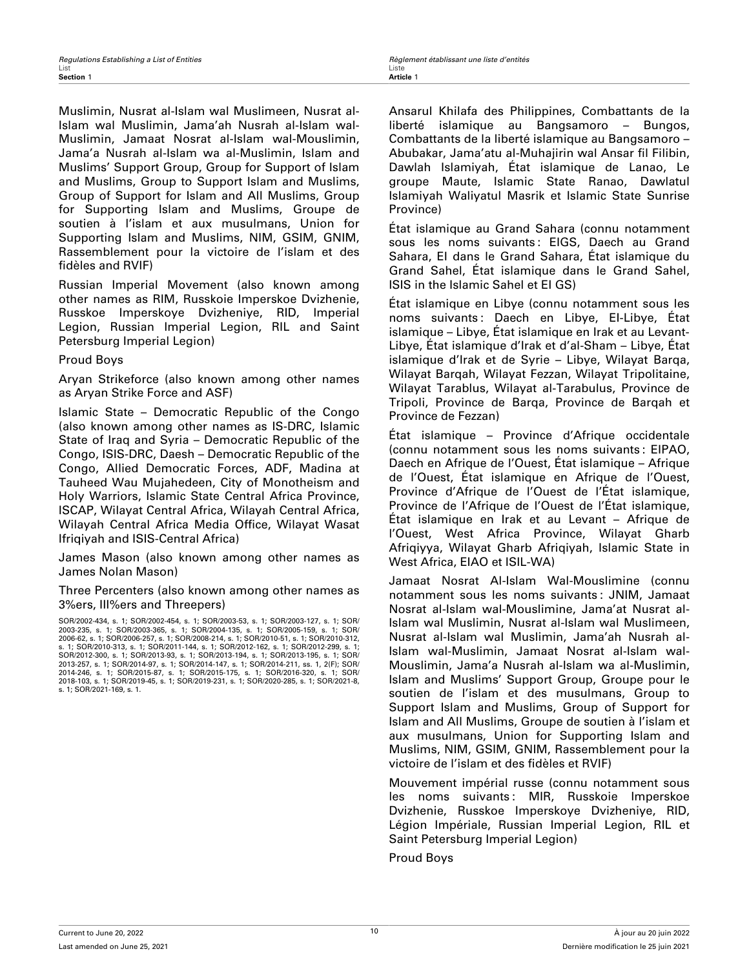| Regulations Establishing a List of Entities | Rèaleme   |
|---------------------------------------------|-----------|
| List                                        | l iste    |
| Section 1                                   | Article 1 |

Muslimin, Nusrat al-Islam wal Muslimeen, Nusrat al-Islam wal Muslimin, Jama'ah Nusrah al-Islam wal-Muslimin, Jamaat Nosrat al-Islam wal-Mouslimin, Jama'a Nusrah al-Islam wa al-Muslimin, Islam and Muslims' Support Group, Group for Support of Islam and Muslims, Group to Support Islam and Muslims, Group of Support for Islam and All Muslims, Group for Supporting Islam and Muslims, Groupe de soutien à l'islam et aux musulmans, Union for Supporting Islam and Muslims, NIM, GSIM, GNIM, Rassemblement pour la victoire de l'islam et des fidèles and RVIF)

Russian Imperial Movement (also known among other names as RIM, Russkoie Imperskoe Dvizhenie, Russkoe Imperskoye Dvizheniye, RID, Imperial Legion, Russian Imperial Legion, RIL and Saint Petersburg Imperial Legion)

## Proud Boys

Aryan Strikeforce (also known among other names as Aryan Strike Force and ASF)

Islamic State – Democratic Republic of the Congo (also known among other names as IS-DRC, Islamic State of Iraq and Syria – Democratic Republic of the Congo, ISIS-DRC, Daesh – Democratic Republic of the Congo, Allied Democratic Forces, ADF, Madina at Tauheed Wau Mujahedeen, City of Monotheism and Holy Warriors, Islamic State Central Africa Province, ISCAP, Wilayat Central Africa, Wilayah Central Africa, Wilayah Central Africa Media Office, Wilayat Wasat Ifriqiyah and ISIS-Central Africa)

James Mason (also known among other names as James Nolan Mason)

Three Percenters (also known among other names as 3%ers, III%ers and Threepers)

SOR/2002-434, s. 1; SOR/2002-454, s. 1; SOR/2003-53, s. 1; SOR/2003-127, s. 1; SOR/ 2003-235, s. 1; SOR/2003-365, s. 1; SOR/2004-135, s. 1; SOR/2005-159, s. 1; SOR/ 2006-62, s. 1; SOR/2006-257, s. 1; SOR/2008-214, s. 1; SOR/2010-51, s. 1; SOR/2010-312, s. 1; SOR/2010-313, s. 1; SOR/2011-144, s. 1; SOR/2012-162, s. 1; SOR/2012-299, s. 1; SOR/2012-300, s. 1; SOR/2013-93, s. 1; SOR/2013-194, s. 1; SOR/2013-195, s. 1; SOR/ 2013-257, s. 1; SOR/2014-97, s. 1; SOR/2014-147, s. 1; SOR/2014-211, ss. 1, 2(F); SOR/<br>2014-246, s. 1; SOR/2015-87, s. 1; SOR/2015-175, s. 1; SOR/2016-320, s. 1; SOR/<br>2018-103, s. 1; SOR/2019-45, s. 1; SOR/2019-231, s. 1; s. 1; SOR/2021-169, s. 1.

Ansarul Khilafa des Philippines, Combattants de la liberté islamique au Bangsamoro – Bungos, Combattants de la liberté islamique au Bangsamoro – Abubakar, Jama'atu al-Muhajirin wal Ansar fil Filibin, Dawlah Islamiyah, État islamique de Lanao, Le groupe Maute, Islamic State Ranao, Dawlatul Islamiyah Waliyatul Masrik et Islamic State Sunrise Province)

État islamique au Grand Sahara (connu notamment sous les noms suivants: EIGS, Daech au Grand Sahara, EI dans le Grand Sahara, État islamique du Grand Sahel, État islamique dans le Grand Sahel, ISIS in the Islamic Sahel et EI GS)

État islamique en Libye (connu notamment sous les noms suivants: Daech en Libye, El-Libye, État islamique – Libye, État islamique en Irak et au Levant-Libye, État islamique d'Irak et d'al-Sham – Libye, État islamique d'Irak et de Syrie – Libye, Wilayat Barqa, Wilayat Barqah, Wilayat Fezzan, Wilayat Tripolitaine, Wilayat Tarablus, Wilayat al-Tarabulus, Province de Tripoli, Province de Barqa, Province de Barqah et Province de Fezzan)

État islamique – Province d'Afrique occidentale (connu notamment sous les noms suivants : EIPAO, Daech en Afrique de l'Ouest, État islamique – Afrique de l'Ouest, État islamique en Afrique de l'Ouest, Province d'Afrique de l'Ouest de l'État islamique, Province de l'Afrique de l'Ouest de l'État islamique, État islamique en Irak et au Levant – Afrique de l'Ouest, West Africa Province, Wilayat Gharb Afriqiyya, Wilayat Gharb Afriqiyah, Islamic State in West Africa, EIAO et ISIL-WA)

Jamaat Nosrat Al-Islam Wal-Mouslimine (connu notamment sous les noms suivants : JNIM, Jamaat Nosrat al-Islam wal-Mouslimine, Jama'at Nusrat al-Islam wal Muslimin, Nusrat al-Islam wal Muslimeen, Nusrat al-Islam wal Muslimin, Jama'ah Nusrah al-Islam wal-Muslimin, Jamaat Nosrat al-Islam wal-Mouslimin, Jama'a Nusrah al-Islam wa al-Muslimin, Islam and Muslims' Support Group, Groupe pour le soutien de l'islam et des musulmans, Group to Support Islam and Muslims, Group of Support for Islam and All Muslims, Groupe de soutien à l'islam et aux musulmans, Union for Supporting Islam and Muslims, NIM, GSIM, GNIM, Rassemblement pour la victoire de l'islam et des fidèles et RVIF)

Mouvement impérial russe (connu notamment sous les noms suivants: MIR, Russkoie Imperskoe Dvizhenie, Russkoe Imperskoye Dvizheniye, RID, Légion Impériale, Russian Imperial Legion, RIL et Saint Petersburg Imperial Legion)

## Proud Boys